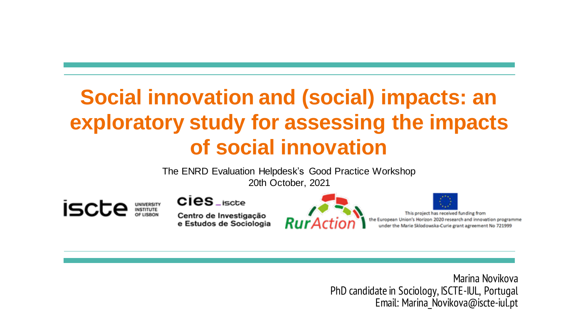# **Social innovation and (social) impacts: an exploratory study for assessing the impacts of social innovation**

The ENRD Evaluation Helpdesk's Good Practice Workshop 20th October, 2021

iscte **UNIVERSITY**<br>INSTITUTE  $Cies_{\mathsf{c}}$ 

Centro de Investigação e Estudos de Sociologia





Marina Novikova PhD candidate in Sociology, ISCTE-IUL, Portugal Email: Marina\_Novikova@iscte-iul.pt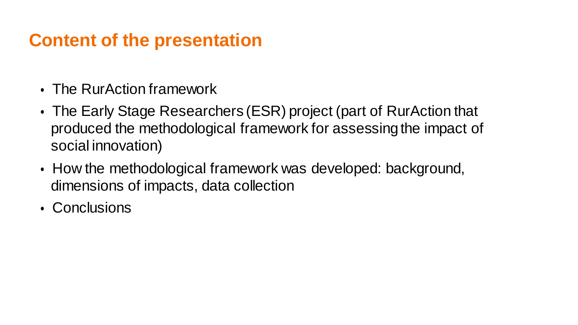## **Content of the presentation**

- The RurAction framework
- The Early Stage Researchers (ESR) project (part of RurAction that produced the methodological framework for assessing the impact of social innovation)
- How the methodological framework was developed: background, dimensions of impacts, data collection
- Conclusions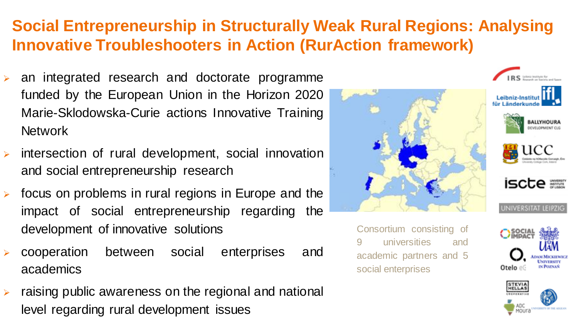## **Social Entrepreneurship in Structurally Weak Rural Regions: Analysing Innovative Troubleshooters in Action (RurAction framework)**

- an integrated research and doctorate programme funded by the European Union in the Horizon 2020 Marie-Sklodowska-Curie actions Innovative Training Network
- ➢ intersection of rural development, social innovation and social entrepreneurship research
- $\triangleright$  focus on problems in rural regions in Europe and the impact of social entrepreneurship regarding the development of innovative solutions
- ➢ cooperation between social enterprises and academics
- $\triangleright$  raising public awareness on the regional and national level regarding rural development issues



Consortium consisting of universities and academic partners and 5 social enterprises



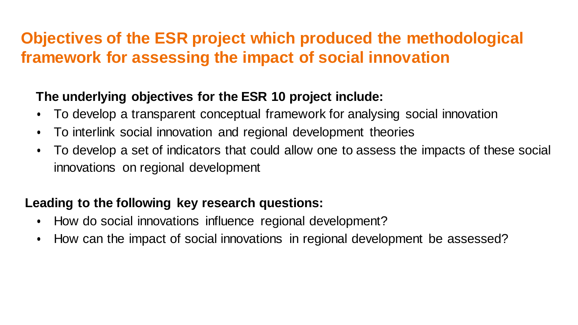## **Objectives of the ESR project which produced the methodological framework for assessing the impact of social innovation**

### **The underlying objectives for the ESR 10 project include:**

- To develop a transparent conceptual framework for analysing social innovation
- To interlink social innovation and regional development theories
- To develop a set of indicators that could allow one to assess the impacts of these social innovations on regional development

### **Leading to the following key research questions:**

- How do social innovations influence regional development?
- How can the impact of social innovations in regional development be assessed?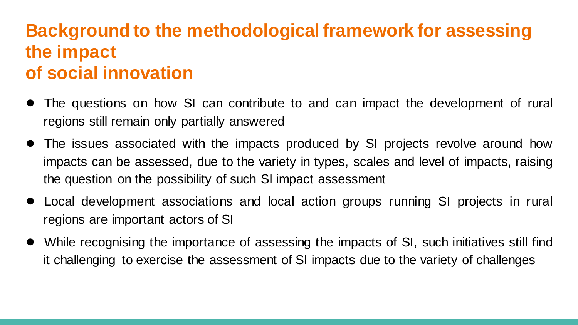## **Background to the methodological framework for assessing the impact of social innovation**

- The questions on how SI can contribute to and can impact the development of rural regions still remain only partially answered
- The issues associated with the impacts produced by SI projects revolve around how impacts can be assessed, due to the variety in types, scales and level of impacts, raising the question on the possibility of such SI impact assessment
- Local development associations and local action groups running SI projects in rural regions are important actors of SI
- While recognising the importance of assessing the impacts of SI, such initiatives still find it challenging to exercise the assessment of SI impacts due to the variety of challenges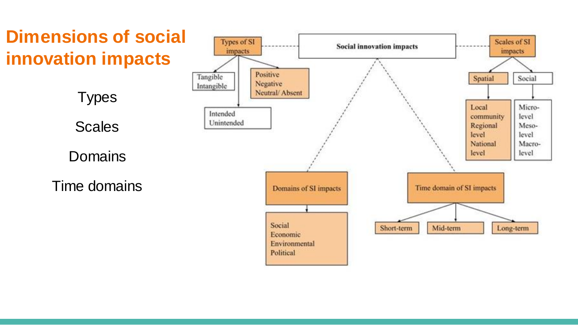## **Dimensions of social innovation impacts**



Time domains

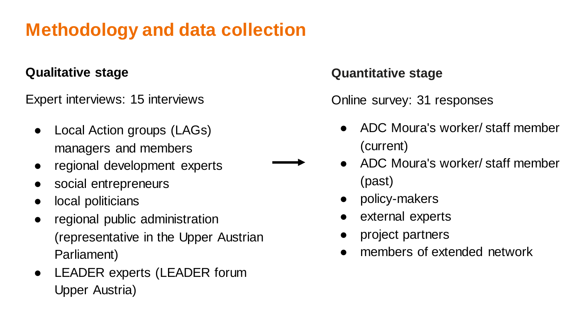## **Methodology and data collection**

#### **Qualitative stage**

Expert interviews: 15 interviews

- Local Action groups (LAGs) managers and members
- regional development experts
- social entrepreneurs
- local politicians
- regional public administration (representative in the Upper Austrian Parliament)
- LEADER experts (LEADER forum Upper Austria)

#### **Quantitative stage**

Online survey: 31 responses

- ADC Moura's worker/ staff member (current)
- ADC Moura's worker/ staff member (past)
	- policy-makers
	- external experts
	- project partners
- members of extended network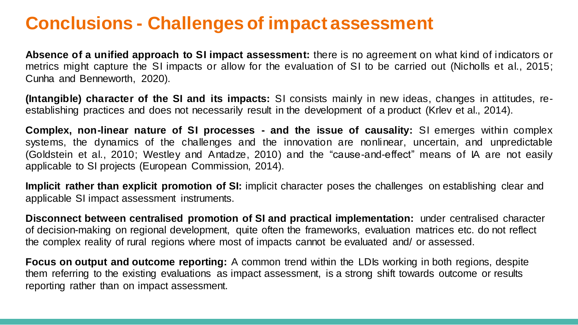## **Conclusions - Challenges of impact assessment**

**Absence of a unified approach to SI impact assessment:** there is no agreement on what kind of indicators or metrics might capture the SI impacts or allow for the evaluation of SI to be carried out (Nicholls et al., 2015; Cunha and Benneworth, 2020).

**(Intangible) character of the SI and its impacts:** SI consists mainly in new ideas, changes in attitudes, reestablishing practices and does not necessarily result in the development of a product (Krlev et al., 2014).

**Complex, non-linear nature of SI processes - and the issue of causality:** SI emerges within complex systems, the dynamics of the challenges and the innovation are nonlinear, uncertain, and unpredictable (Goldstein et al., 2010; Westley and Antadze, 2010) and the "cause-and-effect" means of IA are not easily applicable to SI projects (European Commission, 2014).

**Implicit rather than explicit promotion of SI:** implicit character poses the challenges on establishing clear and applicable SI impact assessment instruments.

**Disconnect between centralised promotion of SI and practical implementation:** under centralised character of decision-making on regional development, quite often the frameworks, evaluation matrices etc. do not reflect the complex reality of rural regions where most of impacts cannot be evaluated and/ or assessed.

**Focus on output and outcome reporting:** A common trend within the LDIs working in both regions, despite them referring to the existing evaluations as impact assessment, is a strong shift towards outcome or results reporting rather than on impact assessment.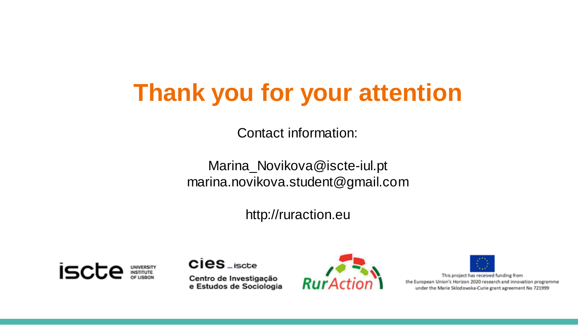# **Thank you for your attention**

Contact information:

Marina\_Novikova@iscte-iul.pt marina.novikova.student@gmail.com

http://ruraction.eu



 $Cies_{\mathsf{c}}$ Centro de Investigação e Estudos de Sociologia





This project has received funding from the European Union's Horizon 2020 research and innovation programme under the Marie Sklodowska-Curie grant agreement No 721999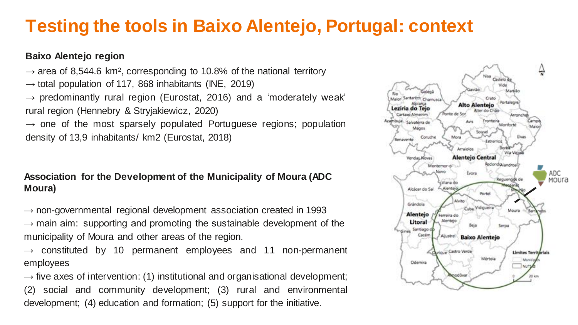## **Testing the tools in Baixo Alentejo, Portugal: context**

#### **Baixo Alentejo region**

 $\rightarrow$  area of 8,544.6 km<sup>2</sup>, corresponding to 10.8% of the national territory  $\rightarrow$  total population of 117, 868 inhabitants (INE, 2019)  $\rightarrow$  predominantly rural region (Eurostat, 2016) and a 'moderately weak' rural region (Hennebry & Stryjakiewicz, 2020)  $\rightarrow$  one of the most sparsely populated Portuguese regions; population density of 13,9 inhabitants/ km2 (Eurostat, 2018)

#### **Association for the Development of the Municipality of Moura (ADC Moura)**

 $\rightarrow$  non-governmental regional development association created in 1993  $\rightarrow$  main aim: supporting and promoting the sustainable development of the municipality of Moura and other areas of the region.

 $\rightarrow$  constituted by 10 permanent employees and 11 non-permanent employees

 $\rightarrow$  five axes of intervention: (1) institutional and organisational development; (2) social and community development; (3) rural and environmental development; (4) education and formation; (5) support for the initiative.